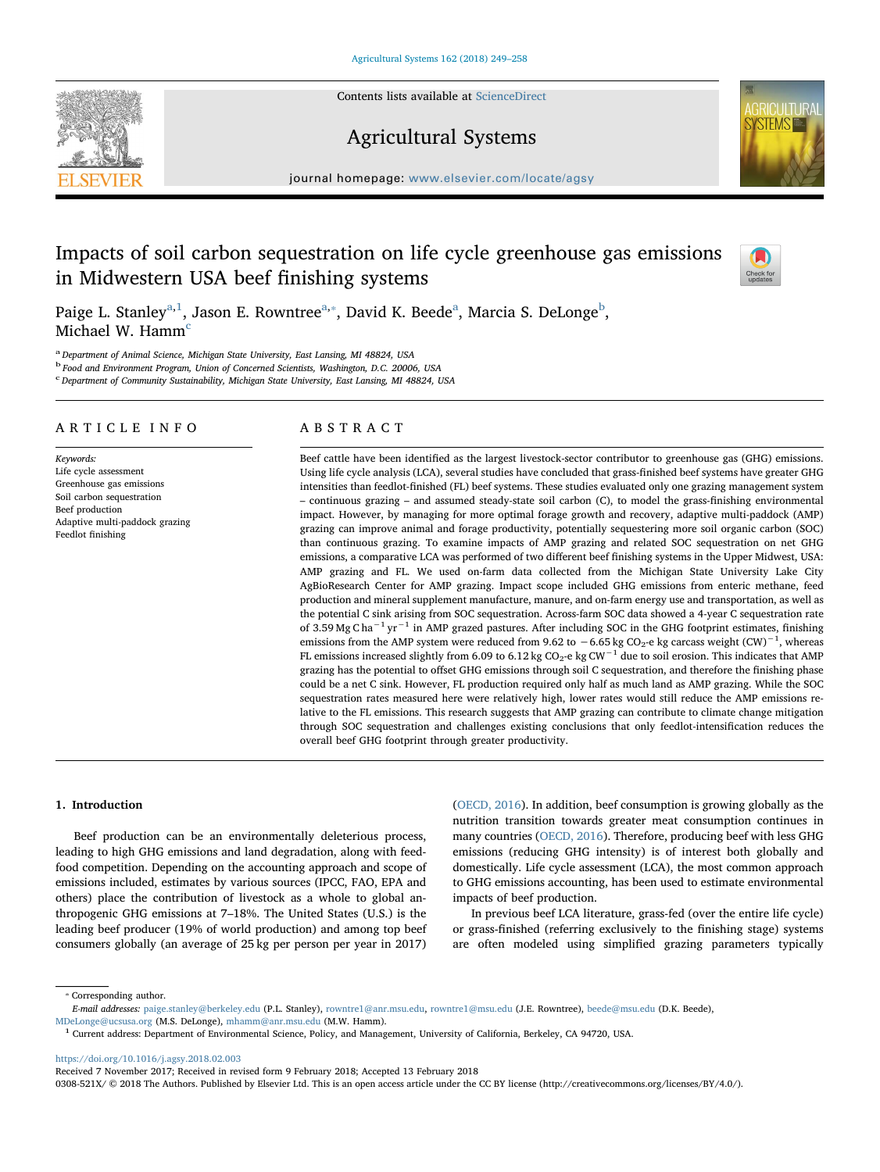Contents lists available at [ScienceDirect](http://www.sciencedirect.com/science/journal/0308521X)







 $j<sub>i</sub>$  is a homepage: [www.elsevier.com/locate/agsy](https://www.elsevier.com/locate/agsy)

# Impacts of soil carbon sequestration on life cycle greenhouse gas emissions in Midwestern USA beef finishing systems



P[a](#page-0-0)ige L. Stanley<sup>a[,1](#page-0-1)</sup>, Jason E. Rowntree<sup>[a,](#page-0-0)</sup>\*, David K. Beede<sup>a</sup>, Marcia S. DeLonge<sup>[b](#page-0-3)</sup>, Mi[c](#page-0-4)hael W. Hamm<sup>c</sup>

<span id="page-0-0"></span><sup>a</sup> Department of Animal Science, Michigan State University, East Lansing, MI 48824, USA

<span id="page-0-3"></span><sup>b</sup> Food and Environment Program, Union of Concerned Scientists, Washington, D.C. 20006, USA

<span id="page-0-4"></span>c Department of Community Sustainability, Michigan State University, East Lansing, MI 48824, USA

# ARTICLE INFO

Keywords: Life cycle assessment Greenhouse gas emissions Soil carbon sequestration Beef production Adaptive multi-paddock grazing Feedlot finishing

# ABSTRACT

Beef cattle have been identified as the largest livestock-sector contributor to greenhouse gas (GHG) emissions. Using life cycle analysis (LCA), several studies have concluded that grass-finished beef systems have greater GHG intensities than feedlot-finished (FL) beef systems. These studies evaluated only one grazing management system – continuous grazing – and assumed steady-state soil carbon (C), to model the grass-finishing environmental impact. However, by managing for more optimal forage growth and recovery, adaptive multi-paddock (AMP) grazing can improve animal and forage productivity, potentially sequestering more soil organic carbon (SOC) than continuous grazing. To examine impacts of AMP grazing and related SOC sequestration on net GHG emissions, a comparative LCA was performed of two different beef finishing systems in the Upper Midwest, USA: AMP grazing and FL. We used on-farm data collected from the Michigan State University Lake City AgBioResearch Center for AMP grazing. Impact scope included GHG emissions from enteric methane, feed production and mineral supplement manufacture, manure, and on-farm energy use and transportation, as well as the potential C sink arising from SOC sequestration. Across-farm SOC data showed a 4-year C sequestration rate of 3.59 Mg C ha−<sup>1</sup> yr−<sup>1</sup> in AMP grazed pastures. After including SOC in the GHG footprint estimates, finishing emissions from the AMP system were reduced from 9.62 to  $-6.65$  kg CO<sub>2</sub>-e kg carcass weight (CW)<sup>-1</sup>, whereas FL emissions increased slightly from 6.09 to 6.12 kg CO<sub>2</sub>-e kg CW<sup>-1</sup> due to soil erosion. This indicates that AMP grazing has the potential to offset GHG emissions through soil C sequestration, and therefore the finishing phase could be a net C sink. However, FL production required only half as much land as AMP grazing. While the SOC sequestration rates measured here were relatively high, lower rates would still reduce the AMP emissions relative to the FL emissions. This research suggests that AMP grazing can contribute to climate change mitigation through SOC sequestration and challenges existing conclusions that only feedlot-intensification reduces the overall beef GHG footprint through greater productivity.

# 1. Introduction

Beef production can be an environmentally deleterious process, leading to high GHG emissions and land degradation, along with feedfood competition. Depending on the accounting approach and scope of emissions included, estimates by various sources (IPCC, FAO, EPA and others) place the contribution of livestock as a whole to global anthropogenic GHG emissions at 7–18%. The United States (U.S.) is the leading beef producer (19% of world production) and among top beef consumers globally (an average of 25 kg per person per year in 2017) ([OECD, 2016\)](#page-9-0). In addition, beef consumption is growing globally as the nutrition transition towards greater meat consumption continues in many countries [\(OECD, 2016](#page-9-0)). Therefore, producing beef with less GHG emissions (reducing GHG intensity) is of interest both globally and domestically. Life cycle assessment (LCA), the most common approach to GHG emissions accounting, has been used to estimate environmental impacts of beef production.

In previous beef LCA literature, grass-fed (over the entire life cycle) or grass-finished (referring exclusively to the finishing stage) systems are often modeled using simplified grazing parameters typically

<span id="page-0-2"></span>⁎ Corresponding author. E-mail addresses: [paige.stanley@berkeley.edu](mailto:paige.stanley@berkeley.edu) (P.L. Stanley), [rowntre1@anr.msu.edu,](mailto:rowntre1@anr.msu.edu) [rowntre1@msu.edu](mailto:rowntre1@msu.edu) (J.E. Rowntree), [beede@msu.edu](mailto:beede@msu.edu) (D.K. Beede),

[MDeLonge@ucsusa.org](mailto:MDeLonge@ucsusa.org) (M.S. DeLonge), [mhamm@anr.msu.edu](mailto:mhamm@anr.msu.edu) (M.W. Hamm).

<https://doi.org/10.1016/j.agsy.2018.02.003>

Received 7 November 2017; Received in revised form 9 February 2018; Accepted 13 February 2018

0308-521X/ © 2018 The Authors. Published by Elsevier Ltd. This is an open access article under the CC BY license (http://creativecommons.org/licenses/BY/4.0/).

<span id="page-0-1"></span><sup>1</sup> Current address: Department of Environmental Science, Policy, and Management, University of California, Berkeley, CA 94720, USA.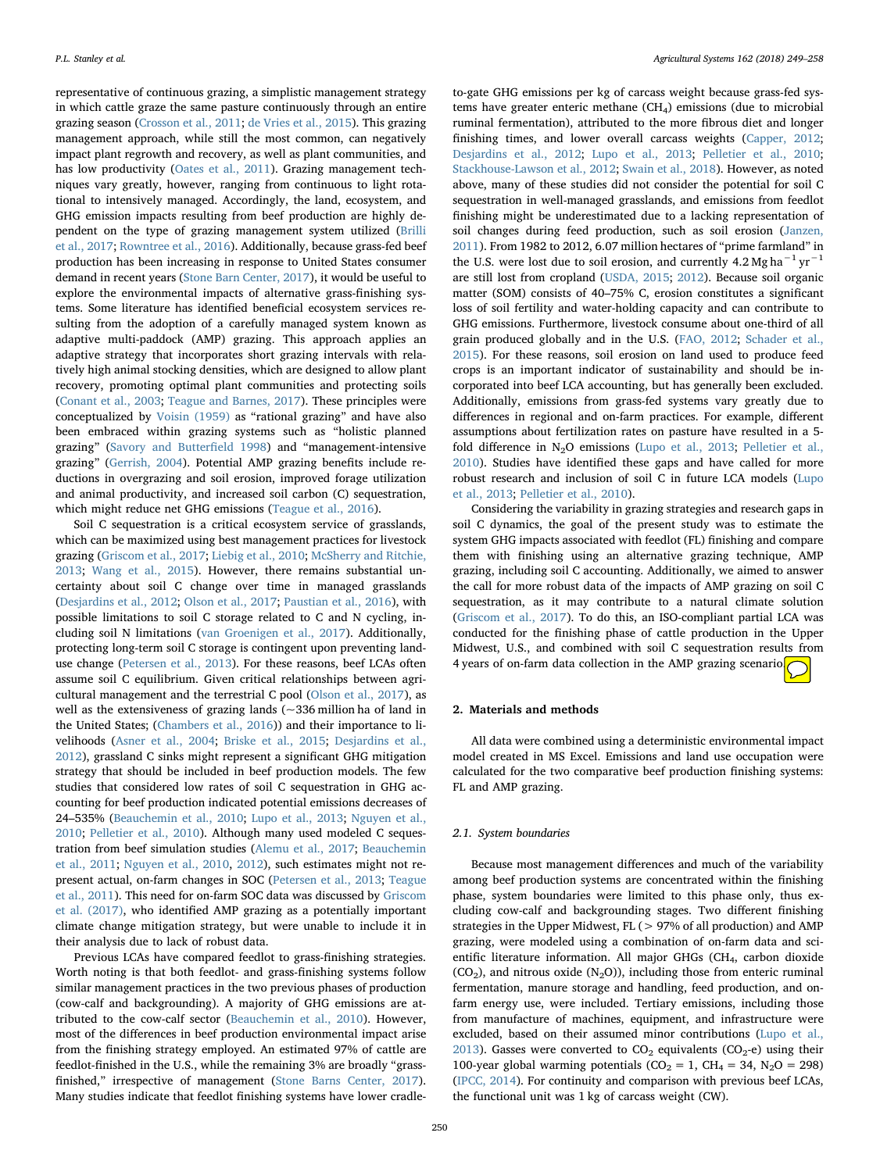representative of continuous grazing, a simplistic management strategy in which cattle graze the same pasture continuously through an entire grazing season [\(Crosson et al., 2011;](#page-8-0) [de Vries et al., 2015](#page-8-1)). This grazing management approach, while still the most common, can negatively impact plant regrowth and recovery, as well as plant communities, and has low productivity [\(Oates et al., 2011](#page-9-1)). Grazing management techniques vary greatly, however, ranging from continuous to light rotational to intensively managed. Accordingly, the land, ecosystem, and GHG emission impacts resulting from beef production are highly dependent on the type of grazing management system utilized [\(Brilli](#page-8-2) [et al., 2017;](#page-8-2) [Rowntree et al., 2016](#page-9-2)). Additionally, because grass-fed beef production has been increasing in response to United States consumer demand in recent years [\(Stone Barn Center, 2017\)](#page-9-3), it would be useful to explore the environmental impacts of alternative grass-finishing systems. Some literature has identified beneficial ecosystem services resulting from the adoption of a carefully managed system known as adaptive multi-paddock (AMP) grazing. This approach applies an adaptive strategy that incorporates short grazing intervals with relatively high animal stocking densities, which are designed to allow plant recovery, promoting optimal plant communities and protecting soils ([Conant et al., 2003;](#page-8-3) [Teague and Barnes, 2017\)](#page-9-4). These principles were conceptualized by [Voisin \(1959\)](#page-9-5) as "rational grazing" and have also been embraced within grazing systems such as "holistic planned grazing" ([Savory and Butter](#page-9-6)field 1998) and "management-intensive grazing" [\(Gerrish, 2004\)](#page-8-4). Potential AMP grazing benefits include reductions in overgrazing and soil erosion, improved forage utilization and animal productivity, and increased soil carbon (C) sequestration, which might reduce net GHG emissions [\(Teague et al., 2016](#page-9-7)).

Soil C sequestration is a critical ecosystem service of grasslands, which can be maximized using best management practices for livestock grazing ([Griscom et al., 2017](#page-8-5); [Liebig et al., 2010](#page-9-8); [McSherry and Ritchie,](#page-9-9) [2013;](#page-9-9) [Wang et al., 2015](#page-9-10)). However, there remains substantial uncertainty about soil C change over time in managed grasslands ([Desjardins et al., 2012](#page-8-6); [Olson et al., 2017;](#page-9-11) [Paustian et al., 2016](#page-9-12)), with possible limitations to soil C storage related to C and N cycling, including soil N limitations [\(van Groenigen et al., 2017](#page-9-13)). Additionally, protecting long-term soil C storage is contingent upon preventing landuse change ([Petersen et al., 2013\)](#page-9-14). For these reasons, beef LCAs often assume soil C equilibrium. Given critical relationships between agricultural management and the terrestrial C pool [\(Olson et al., 2017\)](#page-9-11), as well as the extensiveness of grazing lands  $(-336$  million ha of land in the United States; ([Chambers et al., 2016](#page-8-7))) and their importance to livelihoods [\(Asner et al., 2004;](#page-8-8) [Briske et al., 2015;](#page-8-9) [Desjardins et al.,](#page-8-6) [2012\)](#page-8-6), grassland C sinks might represent a significant GHG mitigation strategy that should be included in beef production models. The few studies that considered low rates of soil C sequestration in GHG accounting for beef production indicated potential emissions decreases of 24–535% ([Beauchemin et al., 2010;](#page-8-10) [Lupo et al., 2013;](#page-9-15) [Nguyen et al.,](#page-9-16) [2010;](#page-9-16) [Pelletier et al., 2010](#page-9-17)). Although many used modeled C sequestration from beef simulation studies ([Alemu et al., 2017](#page-8-11); [Beauchemin](#page-8-12) [et al., 2011;](#page-8-12) [Nguyen et al., 2010](#page-9-16), [2012](#page-9-18)), such estimates might not represent actual, on-farm changes in SOC ([Petersen et al., 2013](#page-9-14); [Teague](#page-9-19) [et al., 2011](#page-9-19)). This need for on-farm SOC data was discussed by [Griscom](#page-8-5) [et al. \(2017\)](#page-8-5), who identified AMP grazing as a potentially important climate change mitigation strategy, but were unable to include it in their analysis due to lack of robust data.

Previous LCAs have compared feedlot to grass-finishing strategies. Worth noting is that both feedlot- and grass-finishing systems follow similar management practices in the two previous phases of production (cow-calf and backgrounding). A majority of GHG emissions are attributed to the cow-calf sector [\(Beauchemin et al., 2010\)](#page-8-10). However, most of the differences in beef production environmental impact arise from the finishing strategy employed. An estimated 97% of cattle are feedlot-finished in the U.S., while the remaining 3% are broadly "grass-finished," irrespective of management ([Stone Barns Center, 2017](#page-9-3)). Many studies indicate that feedlot finishing systems have lower cradle-

to-gate GHG emissions per kg of carcass weight because grass-fed systems have greater enteric methane  $(CH<sub>4</sub>)$  emissions (due to microbial ruminal fermentation), attributed to the more fibrous diet and longer finishing times, and lower overall carcass weights [\(Capper, 2012](#page-8-13); [Desjardins et al., 2012;](#page-8-6) [Lupo et al., 2013;](#page-9-15) [Pelletier et al., 2010](#page-9-17); [Stackhouse-Lawson et al., 2012](#page-9-20); [Swain et al., 2018\)](#page-9-21). However, as noted above, many of these studies did not consider the potential for soil C sequestration in well-managed grasslands, and emissions from feedlot finishing might be underestimated due to a lacking representation of soil changes during feed production, such as soil erosion ([Janzen,](#page-9-22) [2011\)](#page-9-22). From 1982 to 2012, 6.07 million hectares of "prime farmland" in the U.S. were lost due to soil erosion, and currently 4.2 Mg ha<sup> $-1$ </sup> vr<sup> $-1$ </sup> are still lost from cropland [\(USDA, 2015](#page-9-23); [2012\)](#page-9-24). Because soil organic matter (SOM) consists of 40–75% C, erosion constitutes a significant loss of soil fertility and water-holding capacity and can contribute to GHG emissions. Furthermore, livestock consume about one-third of all grain produced globally and in the U.S. ([FAO, 2012](#page-8-14); [Schader et al.,](#page-9-25) [2015\)](#page-9-25). For these reasons, soil erosion on land used to produce feed crops is an important indicator of sustainability and should be incorporated into beef LCA accounting, but has generally been excluded. Additionally, emissions from grass-fed systems vary greatly due to differences in regional and on-farm practices. For example, different assumptions about fertilization rates on pasture have resulted in a 5 fold difference in N2O emissions [\(Lupo et al., 2013](#page-9-15); [Pelletier et al.,](#page-9-17) [2010\)](#page-9-17). Studies have identified these gaps and have called for more robust research and inclusion of soil C in future LCA models [\(Lupo](#page-9-15) [et al., 2013](#page-9-15); [Pelletier et al., 2010\)](#page-9-17).

Considering the variability in grazing strategies and research gaps in soil C dynamics, the goal of the present study was to estimate the system GHG impacts associated with feedlot (FL) finishing and compare them with finishing using an alternative grazing technique, AMP grazing, including soil C accounting. Additionally, we aimed to answer the call for more robust data of the impacts of AMP grazing on soil C sequestration, as it may contribute to a natural climate solution ([Griscom et al., 2017\)](#page-8-5). To do this, an ISO-compliant partial LCA was conducted for the finishing phase of cattle production in the Upper Midwest, U.S., and combined with soil C sequestration results from 4 years of on-farm data collection in the AMP grazing scenario.

### 2. Materials and methods

All data were combined using a deterministic environmental impact model created in MS Excel. Emissions and land use occupation were calculated for the two comparative beef production finishing systems: FL and AMP grazing.

### 2.1. System boundaries

Because most management differences and much of the variability among beef production systems are concentrated within the finishing phase, system boundaries were limited to this phase only, thus excluding cow-calf and backgrounding stages. Two different finishing strategies in the Upper Midwest, FL (> 97% of all production) and AMP grazing, were modeled using a combination of on-farm data and scientific literature information. All major GHGs (CH<sub>4</sub>, carbon dioxide  $(CO<sub>2</sub>)$ , and nitrous oxide  $(N<sub>2</sub>O)$ ), including those from enteric ruminal fermentation, manure storage and handling, feed production, and onfarm energy use, were included. Tertiary emissions, including those from manufacture of machines, equipment, and infrastructure were excluded, based on their assumed minor contributions ([Lupo et al.,](#page-9-15) [2013\)](#page-9-15). Gasses were converted to  $CO_2$  equivalents  $(CO_2-e)$  using their 100-year global warming potentials ( $CO<sub>2</sub> = 1$ ,  $CH<sub>4</sub> = 34$ ,  $N<sub>2</sub>O = 298$ ) ([IPCC, 2014\)](#page-9-26). For continuity and comparison with previous beef LCAs, the functional unit was 1 kg of carcass weight (CW).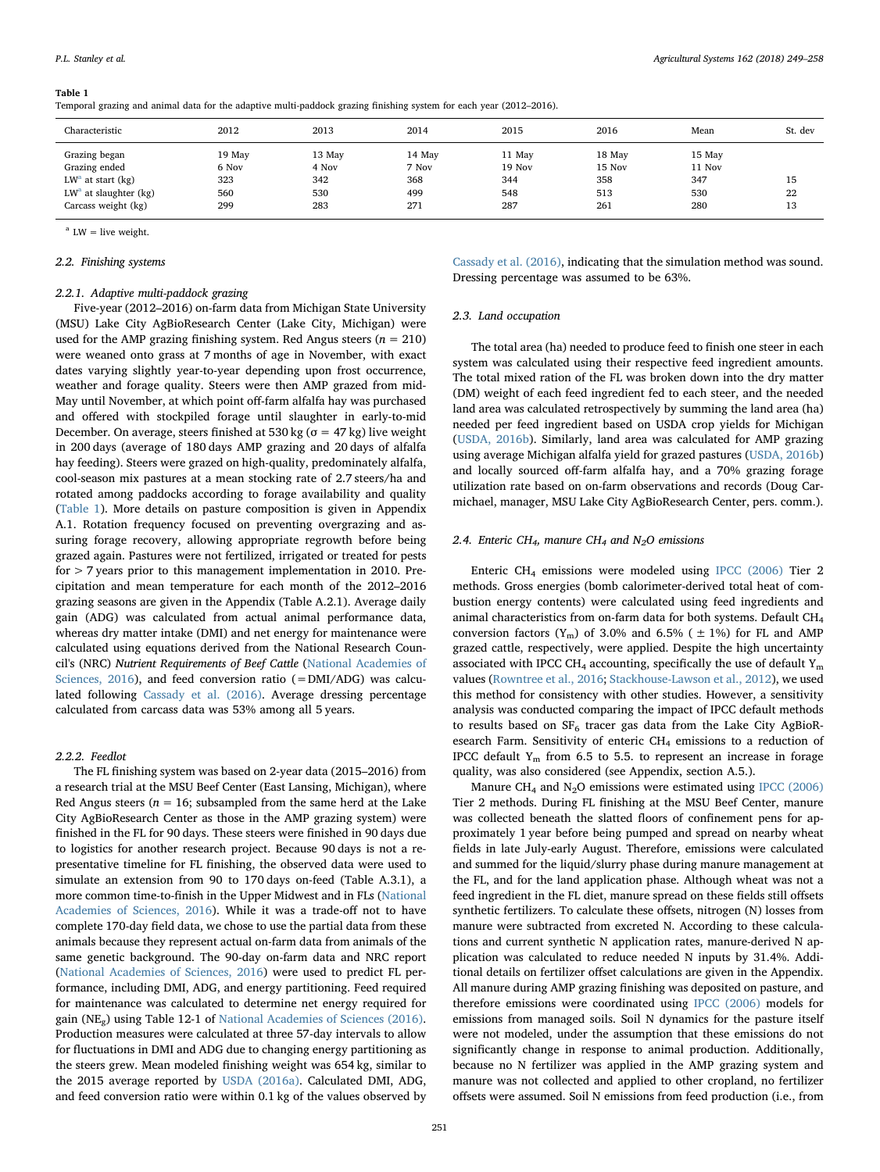#### <span id="page-2-0"></span>Table 1

Temporal grazing and animal data for the adaptive multi-paddock grazing finishing system for each year (2012–2016).

| Characteristic                                                                                          | 2012                                 | 2013                                 | 2014                                 | 2015                                  | 2016                                  | Mean                                  | St. dev        |
|---------------------------------------------------------------------------------------------------------|--------------------------------------|--------------------------------------|--------------------------------------|---------------------------------------|---------------------------------------|---------------------------------------|----------------|
| Grazing began<br>Grazing ended<br>$LWa$ at start (kg)<br>$LWa$ at slaughter (kg)<br>Carcass weight (kg) | 19 May<br>6 Nov<br>323<br>560<br>299 | 13 May<br>4 Nov<br>342<br>530<br>283 | 14 May<br>7 Nov<br>368<br>499<br>271 | 11 May<br>19 Nov<br>344<br>548<br>287 | 18 May<br>15 Nov<br>358<br>513<br>261 | 15 May<br>11 Nov<br>347<br>530<br>280 | 15<br>22<br>13 |
|                                                                                                         |                                      |                                      |                                      |                                       |                                       |                                       |                |

<span id="page-2-1"></span> $a$  LW = live weight.

### 2.2. Finishing systems

### 2.2.1. Adaptive multi-paddock grazing

Five-year (2012–2016) on-farm data from Michigan State University (MSU) Lake City AgBioResearch Center (Lake City, Michigan) were used for the AMP grazing finishing system. Red Angus steers ( $n = 210$ ) were weaned onto grass at 7 months of age in November, with exact dates varying slightly year-to-year depending upon frost occurrence, weather and forage quality. Steers were then AMP grazed from mid-May until November, at which point off-farm alfalfa hay was purchased and offered with stockpiled forage until slaughter in early-to-mid December. On average, steers finished at 530 kg ( $\sigma$  = 47 kg) live weight in 200 days (average of 180 days AMP grazing and 20 days of alfalfa hay feeding). Steers were grazed on high-quality, predominately alfalfa, cool-season mix pastures at a mean stocking rate of 2.7 steers/ha and rotated among paddocks according to forage availability and quality ([Table 1](#page-2-0)). More details on pasture composition is given in Appendix A.1. Rotation frequency focused on preventing overgrazing and assuring forage recovery, allowing appropriate regrowth before being grazed again. Pastures were not fertilized, irrigated or treated for pests for > 7 years prior to this management implementation in 2010. Precipitation and mean temperature for each month of the 2012–2016 grazing seasons are given in the Appendix (Table A.2.1). Average daily gain (ADG) was calculated from actual animal performance data, whereas dry matter intake (DMI) and net energy for maintenance were calculated using equations derived from the National Research Council's (NRC) Nutrient Requirements of Beef Cattle ([National Academies of](#page-9-27) [Sciences, 2016\)](#page-9-27), and feed conversion ratio (=DMI/ADG) was calculated following [Cassady et al. \(2016\)](#page-8-15). Average dressing percentage calculated from carcass data was 53% among all 5 years.

# 2.2.2. Feedlot

The FL finishing system was based on 2-year data (2015–2016) from a research trial at the MSU Beef Center (East Lansing, Michigan), where Red Angus steers ( $n = 16$ ; subsampled from the same herd at the Lake City AgBioResearch Center as those in the AMP grazing system) were finished in the FL for 90 days. These steers were finished in 90 days due to logistics for another research project. Because 90 days is not a representative timeline for FL finishing, the observed data were used to simulate an extension from 90 to 170 days on-feed (Table A.3.1), a more common time-to-finish in the Upper Midwest and in FLs [\(National](#page-9-27) [Academies of Sciences, 2016\)](#page-9-27). While it was a trade-off not to have complete 170-day field data, we chose to use the partial data from these animals because they represent actual on-farm data from animals of the same genetic background. The 90-day on-farm data and NRC report ([National Academies of Sciences, 2016](#page-9-27)) were used to predict FL performance, including DMI, ADG, and energy partitioning. Feed required for maintenance was calculated to determine net energy required for gain ( $NE_{\sigma}$ ) using Table 12-1 of [National Academies of Sciences \(2016\)](#page-9-27). Production measures were calculated at three 57-day intervals to allow for fluctuations in DMI and ADG due to changing energy partitioning as the steers grew. Mean modeled finishing weight was 654 kg, similar to the 2015 average reported by [USDA \(2016a\).](#page-9-28) Calculated DMI, ADG, and feed conversion ratio were within 0.1 kg of the values observed by

[Cassady et al. \(2016\),](#page-8-15) indicating that the simulation method was sound. Dressing percentage was assumed to be 63%.

# 2.3. Land occupation

The total area (ha) needed to produce feed to finish one steer in each system was calculated using their respective feed ingredient amounts. The total mixed ration of the FL was broken down into the dry matter (DM) weight of each feed ingredient fed to each steer, and the needed land area was calculated retrospectively by summing the land area (ha) needed per feed ingredient based on USDA crop yields for Michigan ([USDA, 2016b](#page-9-29)). Similarly, land area was calculated for AMP grazing using average Michigan alfalfa yield for grazed pastures [\(USDA, 2016b\)](#page-9-29) and locally sourced off-farm alfalfa hay, and a 70% grazing forage utilization rate based on on-farm observations and records (Doug Carmichael, manager, MSU Lake City AgBioResearch Center, pers. comm.).

### 2.4. Enteric CH<sub>4</sub>, manure CH<sub>4</sub> and N<sub>2</sub>O emissions

Enteric CH4 emissions were modeled using [IPCC \(2006\)](#page-9-30) Tier 2 methods. Gross energies (bomb calorimeter-derived total heat of combustion energy contents) were calculated using feed ingredients and animal characteristics from on-farm data for both systems. Default CH4 conversion factors ( $Y_m$ ) of 3.0% and 6.5% ( $\pm$  1%) for FL and AMP grazed cattle, respectively, were applied. Despite the high uncertainty associated with IPCC CH<sub>4</sub> accounting, specifically the use of default  $Y_m$ values ([Rowntree et al., 2016;](#page-9-2) [Stackhouse-Lawson et al., 2012](#page-9-20)), we used this method for consistency with other studies. However, a sensitivity analysis was conducted comparing the impact of IPCC default methods to results based on  $SF_6$  tracer gas data from the Lake City AgBioResearch Farm. Sensitivity of enteric  $CH<sub>4</sub>$  emissions to a reduction of IPCC default  $Y_m$  from 6.5 to 5.5. to represent an increase in forage quality, was also considered (see Appendix, section A.5.).

Manure CH<sub>4</sub> and N<sub>2</sub>O emissions were estimated using [IPCC \(2006\)](#page-9-30) Tier 2 methods. During FL finishing at the MSU Beef Center, manure was collected beneath the slatted floors of confinement pens for approximately 1 year before being pumped and spread on nearby wheat fields in late July-early August. Therefore, emissions were calculated and summed for the liquid/slurry phase during manure management at the FL, and for the land application phase. Although wheat was not a feed ingredient in the FL diet, manure spread on these fields still offsets synthetic fertilizers. To calculate these offsets, nitrogen (N) losses from manure were subtracted from excreted N. According to these calculations and current synthetic N application rates, manure-derived N application was calculated to reduce needed N inputs by 31.4%. Additional details on fertilizer offset calculations are given in the Appendix. All manure during AMP grazing finishing was deposited on pasture, and therefore emissions were coordinated using [IPCC \(2006\)](#page-9-30) models for emissions from managed soils. Soil N dynamics for the pasture itself were not modeled, under the assumption that these emissions do not significantly change in response to animal production. Additionally, because no N fertilizer was applied in the AMP grazing system and manure was not collected and applied to other cropland, no fertilizer offsets were assumed. Soil N emissions from feed production (i.e., from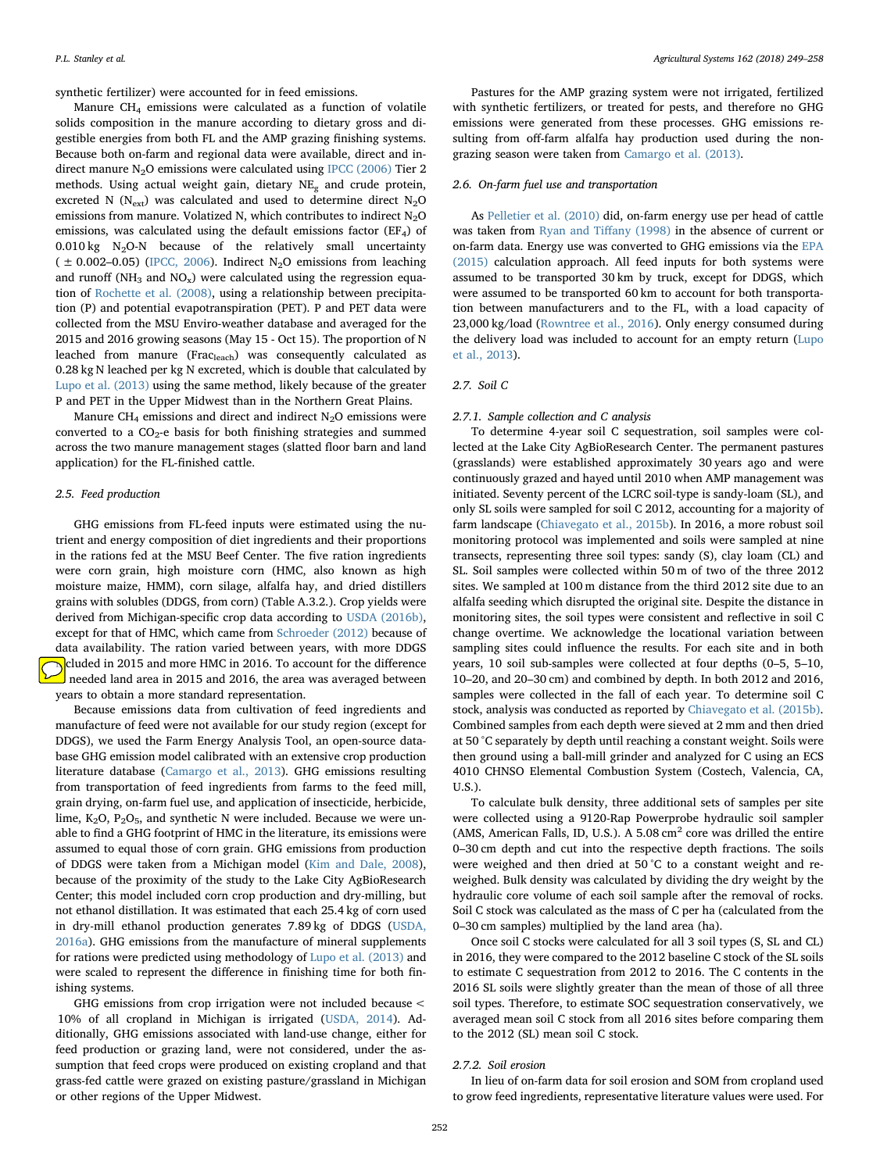synthetic fertilizer) were accounted for in feed emissions.

Manure CH4 emissions were calculated as a function of volatile solids composition in the manure according to dietary gross and digestible energies from both FL and the AMP grazing finishing systems. Because both on-farm and regional data were available, direct and indirect manure  $N_2O$  emissions were calculated using [IPCC \(2006\)](#page-9-30) Tier 2 methods. Using actual weight gain, dietary  $NE_{\alpha}$  and crude protein, excreted N ( $N_{ext}$ ) was calculated and used to determine direct  $N_2O$ emissions from manure. Volatized N, which contributes to indirect  $N_2O$ emissions, was calculated using the default emissions factor ( $EF<sub>4</sub>$ ) of  $0.010 \text{ kg}$  N<sub>2</sub>O-N because of the relatively small uncertainty  $( \pm 0.002 - 0.05)$  [\(IPCC, 2006](#page-9-30)). Indirect N<sub>2</sub>O emissions from leaching and runoff ( $NH_3$  and  $NO_x$ ) were calculated using the regression equation of [Rochette et al. \(2008\)](#page-9-31), using a relationship between precipitation (P) and potential evapotranspiration (PET). P and PET data were collected from the MSU Enviro-weather database and averaged for the 2015 and 2016 growing seasons (May 15 - Oct 15). The proportion of N leached from manure (Fracleach) was consequently calculated as 0.28 kg N leached per kg N excreted, which is double that calculated by [Lupo et al. \(2013\)](#page-9-15) using the same method, likely because of the greater P and PET in the Upper Midwest than in the Northern Great Plains.

Manure CH<sub>4</sub> emissions and direct and indirect  $N_2O$  emissions were converted to a  $CO<sub>2</sub>$ -e basis for both finishing strategies and summed across the two manure management stages (slatted floor barn and land application) for the FL-finished cattle.

### 2.5. Feed production

GHG emissions from FL-feed inputs were estimated using the nutrient and energy composition of diet ingredients and their proportions in the rations fed at the MSU Beef Center. The five ration ingredients were corn grain, high moisture corn (HMC, also known as high moisture maize, HMM), corn silage, alfalfa hay, and dried distillers grains with solubles (DDGS, from corn) (Table A.3.2.). Crop yields were derived from Michigan-specific crop data according to [USDA \(2016b\)](#page-9-29), except for that of HMC, which came from [Schroeder \(2012\)](#page-9-32) because of data availability. The ration varied between years, with more DDGS Included in 2015 and more HMC in 2016. To account for the difference needed land area in 2015 and 2016, the area was averaged between years to obtain a more standard representation.

Because emissions data from cultivation of feed ingredients and manufacture of feed were not available for our study region (except for DDGS), we used the Farm Energy Analysis Tool, an open-source database GHG emission model calibrated with an extensive crop production literature database ([Camargo et al., 2013](#page-8-16)). GHG emissions resulting from transportation of feed ingredients from farms to the feed mill, grain drying, on-farm fuel use, and application of insecticide, herbicide, lime,  $K_2O$ ,  $P_2O_5$ , and synthetic N were included. Because we were unable to find a GHG footprint of HMC in the literature, its emissions were assumed to equal those of corn grain. GHG emissions from production of DDGS were taken from a Michigan model [\(Kim and Dale, 2008](#page-9-33)), because of the proximity of the study to the Lake City AgBioResearch Center; this model included corn crop production and dry-milling, but not ethanol distillation. It was estimated that each 25.4 kg of corn used in dry-mill ethanol production generates 7.89 kg of DDGS ([USDA,](#page-9-28) [2016a\)](#page-9-28). GHG emissions from the manufacture of mineral supplements for rations were predicted using methodology of [Lupo et al. \(2013\)](#page-9-15) and were scaled to represent the difference in finishing time for both finishing systems.

GHG emissions from crop irrigation were not included because < 10% of all cropland in Michigan is irrigated [\(USDA, 2014](#page-9-34)). Additionally, GHG emissions associated with land-use change, either for feed production or grazing land, were not considered, under the assumption that feed crops were produced on existing cropland and that grass-fed cattle were grazed on existing pasture/grassland in Michigan or other regions of the Upper Midwest.

Pastures for the AMP grazing system were not irrigated, fertilized with synthetic fertilizers, or treated for pests, and therefore no GHG emissions were generated from these processes. GHG emissions resulting from off-farm alfalfa hay production used during the nongrazing season were taken from [Camargo et al. \(2013\)](#page-8-16).

### 2.6. On-farm fuel use and transportation

As [Pelletier et al. \(2010\)](#page-9-17) did, on-farm energy use per head of cattle was taken from [Ryan and Ti](#page-9-35)ffany (1998) in the absence of current or on-farm data. Energy use was converted to GHG emissions via the [EPA](#page-8-17) [\(2015\)](#page-8-17) calculation approach. All feed inputs for both systems were assumed to be transported 30 km by truck, except for DDGS, which were assumed to be transported 60 km to account for both transportation between manufacturers and to the FL, with a load capacity of 23,000 kg/load ([Rowntree et al., 2016\)](#page-9-2). Only energy consumed during the delivery load was included to account for an empty return [\(Lupo](#page-9-15) [et al., 2013](#page-9-15)).

### 2.7. Soil C

### 2.7.1. Sample collection and C analysis

To determine 4-year soil C sequestration, soil samples were collected at the Lake City AgBioResearch Center. The permanent pastures (grasslands) were established approximately 30 years ago and were continuously grazed and hayed until 2010 when AMP management was initiated. Seventy percent of the LCRC soil-type is sandy-loam (SL), and only SL soils were sampled for soil C 2012, accounting for a majority of farm landscape ([Chiavegato et al., 2015b\)](#page-8-18). In 2016, a more robust soil monitoring protocol was implemented and soils were sampled at nine transects, representing three soil types: sandy (S), clay loam (CL) and SL. Soil samples were collected within 50 m of two of the three 2012 sites. We sampled at 100 m distance from the third 2012 site due to an alfalfa seeding which disrupted the original site. Despite the distance in monitoring sites, the soil types were consistent and reflective in soil C change overtime. We acknowledge the locational variation between sampling sites could influence the results. For each site and in both years, 10 soil sub-samples were collected at four depths (0–5, 5–10, 10–20, and 20–30 cm) and combined by depth. In both 2012 and 2016, samples were collected in the fall of each year. To determine soil C stock, analysis was conducted as reported by [Chiavegato et al. \(2015b\)](#page-8-18). Combined samples from each depth were sieved at 2 mm and then dried at 50 °C separately by depth until reaching a constant weight. Soils were then ground using a ball-mill grinder and analyzed for C using an ECS 4010 CHNSO Elemental Combustion System (Costech, Valencia, CA, U.S.).

To calculate bulk density, three additional sets of samples per site were collected using a 9120-Rap Powerprobe hydraulic soil sampler (AMS, American Falls, ID, U.S.). A 5.08 cm<sup>2</sup> core was drilled the entire 0–30 cm depth and cut into the respective depth fractions. The soils were weighed and then dried at 50 °C to a constant weight and reweighed. Bulk density was calculated by dividing the dry weight by the hydraulic core volume of each soil sample after the removal of rocks. Soil C stock was calculated as the mass of C per ha (calculated from the 0–30 cm samples) multiplied by the land area (ha).

Once soil C stocks were calculated for all 3 soil types (S, SL and CL) in 2016, they were compared to the 2012 baseline C stock of the SL soils to estimate C sequestration from 2012 to 2016. The C contents in the 2016 SL soils were slightly greater than the mean of those of all three soil types. Therefore, to estimate SOC sequestration conservatively, we averaged mean soil C stock from all 2016 sites before comparing them to the 2012 (SL) mean soil C stock.

### 2.7.2. Soil erosion

In lieu of on-farm data for soil erosion and SOM from cropland used to grow feed ingredients, representative literature values were used. For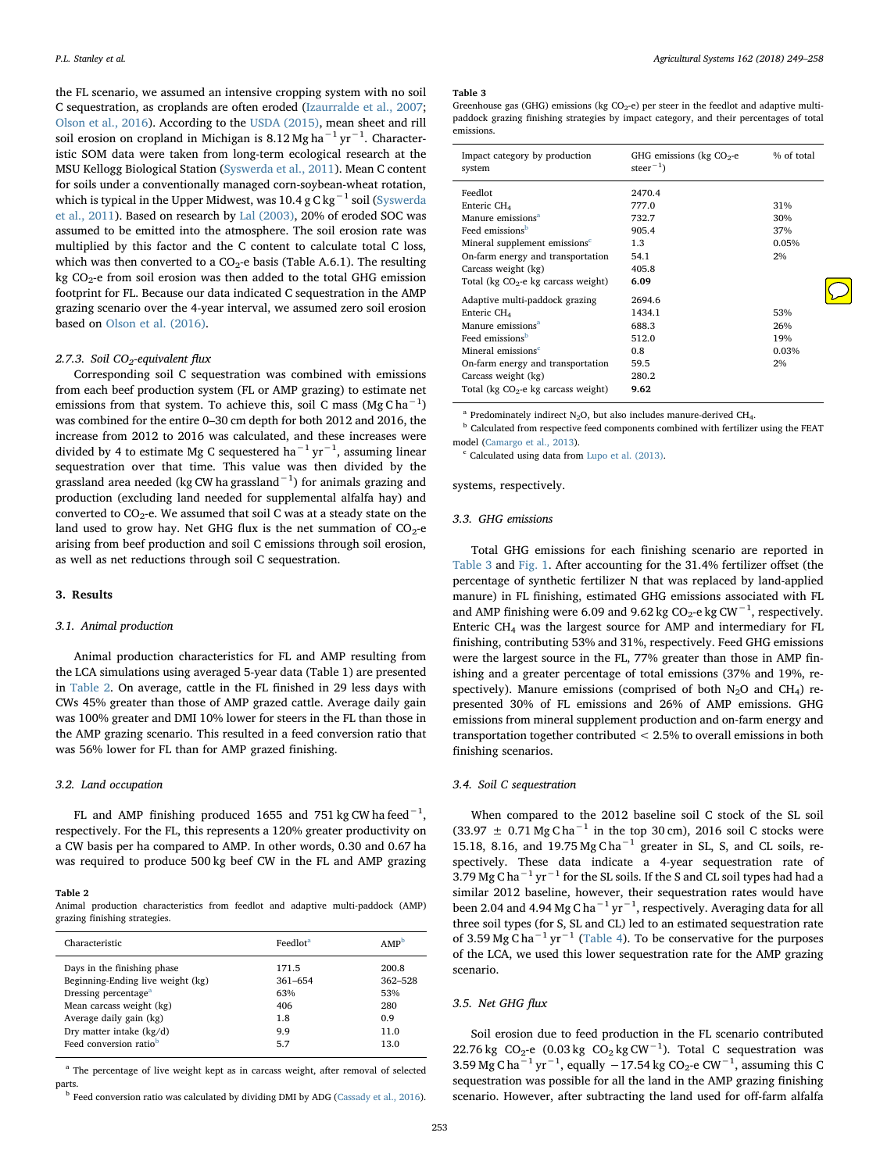the FL scenario, we assumed an intensive cropping system with no soil C sequestration, as croplands are often eroded [\(Izaurralde et al., 2007](#page-9-36); [Olson et al., 2016](#page-9-37)). According to the [USDA \(2015\)](#page-9-23), mean sheet and rill soil erosion on cropland in Michigan is 8.12 Mg ha<sup>−1</sup> yr<sup>−1</sup>. Characteristic SOM data were taken from long-term ecological research at the MSU Kellogg Biological Station ([Syswerda et al., 2011\)](#page-9-38). Mean C content for soils under a conventionally managed corn-soybean-wheat rotation, which is typical in the Upper Midwest, was 10.4 g C kg<sup>-1</sup> soil [\(Syswerda](#page-9-38) [et al., 2011\)](#page-9-38). Based on research by [Lal \(2003\)](#page-9-39), 20% of eroded SOC was assumed to be emitted into the atmosphere. The soil erosion rate was multiplied by this factor and the C content to calculate total C loss, which was then converted to a  $CO<sub>2</sub>$ -e basis (Table A.6.1). The resulting kg  $CO<sub>2</sub>$ -e from soil erosion was then added to the total GHG emission footprint for FL. Because our data indicated C sequestration in the AMP grazing scenario over the 4-year interval, we assumed zero soil erosion based on [Olson et al. \(2016\)](#page-9-37).

# 2.7.3. Soil  $CO<sub>2</sub>$ -equivalent flux

Corresponding soil C sequestration was combined with emissions from each beef production system (FL or AMP grazing) to estimate net emissions from that system. To achieve this, soil C mass (Mg C ha $^{-1}$ ) was combined for the entire 0–30 cm depth for both 2012 and 2016, the increase from 2012 to 2016 was calculated, and these increases were divided by 4 to estimate Mg C sequestered ha<sup>-1</sup> yr<sup>-1</sup>, assuming linear sequestration over that time. This value was then divided by the grassland area needed (kg CW ha grassland $^{\rm -1})$  for animals grazing and production (excluding land needed for supplemental alfalfa hay) and converted to  $CO_2$ -e. We assumed that soil C was at a steady state on the land used to grow hay. Net GHG flux is the net summation of  $CO<sub>2</sub>$ -e arising from beef production and soil C emissions through soil erosion, as well as net reductions through soil C sequestration.

### 3. Results

# 3.1. Animal production

Animal production characteristics for FL and AMP resulting from the LCA simulations using averaged 5-year data (Table 1) are presented in [Table 2.](#page-4-0) On average, cattle in the FL finished in 29 less days with CWs 45% greater than those of AMP grazed cattle. Average daily gain was 100% greater and DMI 10% lower for steers in the FL than those in the AMP grazing scenario. This resulted in a feed conversion ratio that was 56% lower for FL than for AMP grazed finishing.

### 3.2. Land occupation

FL and AMP finishing produced 1655 and 751 kg CW hafeed<sup>-1</sup>, respectively. For the FL, this represents a 120% greater productivity on a CW basis per ha compared to AMP. In other words, 0.30 and 0.67 ha was required to produce 500 kg beef CW in the FL and AMP grazing

#### <span id="page-4-0"></span>Table 2

Animal production characteristics from feedlot and adaptive multi-paddock (AMP) grazing finishing strategies.

| Characteristic                     | Feedlot <sup>a</sup> | AMP <sup>k</sup> |
|------------------------------------|----------------------|------------------|
| Days in the finishing phase        | 171.5                | 200.8            |
| Beginning-Ending live weight (kg)  | 361-654              | $362 - 528$      |
| Dressing percentage <sup>a</sup>   | 63%                  | 53%              |
| Mean carcass weight (kg)           | 406                  | 280              |
| Average daily gain (kg)            | 1.8                  | 0.9              |
| Dry matter intake $(kg/d)$         | 9.9                  | 11.0             |
| Feed conversion ratio <sup>b</sup> | 5.7                  | 13.0             |

<span id="page-4-2"></span><sup>a</sup> The percentage of live weight kept as in carcass weight, after removal of selected parts.

<span id="page-4-3"></span> $^{\rm b}$  Feed conversion ratio was calculated by dividing DMI by ADG [\(Cassady et al., 2016](#page-8-15)).

#### <span id="page-4-1"></span>Table 3

Greenhouse gas (GHG) emissions (kg  $CO<sub>2</sub>$ -e) per steer in the feedlot and adaptive multipaddock grazing finishing strategies by impact category, and their percentages of total emissions.

| Impact category by production<br>system   | GHG emissions ( $kg CO2$ -e<br>steer <sup><math>-1</math></sup> ) | % of total |
|-------------------------------------------|-------------------------------------------------------------------|------------|
| Feedlot                                   | 2470.4                                                            |            |
| Enteric CH <sub>4</sub>                   | 777.0                                                             | 31%        |
| Manure emissions <sup>a</sup>             | 732.7                                                             | 30%        |
| Feed emissions <sup>b</sup>               | 905.4                                                             | 37%        |
| Mineral supplement emissions <sup>c</sup> | 1.3                                                               | 0.05%      |
| On-farm energy and transportation         | 54.1                                                              | 2%         |
| Carcass weight (kg)                       | 405.8                                                             |            |
| Total ( $kg CO2$ -e kg carcass weight)    | 6.09                                                              |            |
| Adaptive multi-paddock grazing            | 2694.6                                                            |            |
| Enteric CH <sub>4</sub>                   | 1434.1                                                            | 53%        |
| Manure emissions <sup>a</sup>             | 688.3                                                             | 26%        |
| Feed emissions <sup>b</sup>               | 512.0                                                             | 19%        |
| Mineral emissions <sup>c</sup>            | 0.8                                                               | 0.03%      |
| On-farm energy and transportation         | 59.5                                                              | 2%         |
| Carcass weight (kg)                       | 280.2                                                             |            |
| Total ( $kg CO2$ -e kg carcass weight)    | 9.62                                                              |            |

<span id="page-4-4"></span><sup>a</sup> Predominately indirect N<sub>2</sub>O, but also includes manure-derived CH<sub>4</sub>.

<span id="page-4-5"></span><sup>b</sup> Calculated from respective feed components combined with fertilizer using the FEAT model ([Camargo et al., 2013\)](#page-8-16).

<span id="page-4-6"></span><sup>c</sup> Calculated using data from [Lupo et al. \(2013\)](#page-9-15).

# systems, respectively.

### 3.3. GHG emissions

Total GHG emissions for each finishing scenario are reported in [Table 3](#page-4-1) and [Fig. 1](#page-5-0). After accounting for the 31.4% fertilizer offset (the percentage of synthetic fertilizer N that was replaced by land-applied manure) in FL finishing, estimated GHG emissions associated with FL and AMP finishing were 6.09 and 9.62 kg  $CO_2$ -e kg CW<sup>-1</sup>, respectively. Enteric  $CH<sub>4</sub>$  was the largest source for AMP and intermediary for FL finishing, contributing 53% and 31%, respectively. Feed GHG emissions were the largest source in the FL, 77% greater than those in AMP finishing and a greater percentage of total emissions (37% and 19%, respectively). Manure emissions (comprised of both  $N_2O$  and  $CH_4$ ) represented 30% of FL emissions and 26% of AMP emissions. GHG emissions from mineral supplement production and on-farm energy and transportation together contributed < 2.5% to overall emissions in both finishing scenarios.

### 3.4. Soil C sequestration

When compared to the 2012 baseline soil C stock of the SL soil  $(33.97 \pm 0.71 \text{ Mg C ha}^{-1}$  in the top 30 cm), 2016 soil C stocks were 15.18, 8.16, and 19.75 Mg C ha−<sup>1</sup> greater in SL, S, and CL soils, respectively. These data indicate a 4-year sequestration rate of 3.79 Mg C ha<sup> $-1$ </sup> yr<sup> $-1$ </sup> for the SL soils. If the S and CL soil types had had a similar 2012 baseline, however, their sequestration rates would have been 2.04 and 4.94 Mg C ha<sup>-1</sup> yr<sup>-1</sup>, respectively. Averaging data for all three soil types (for S, SL and CL) led to an estimated sequestration rate of 3.59 Mg C ha<sup>-1</sup> yr<sup>-1</sup> ([Table 4\)](#page-5-1). To be conservative for the purposes of the LCA, we used this lower sequestration rate for the AMP grazing scenario.

# 3.5. Net GHG flux

Soil erosion due to feed production in the FL scenario contributed 22.76 kg CO<sub>2</sub>-e (0.03 kg CO<sub>2</sub> kg CW<sup>-1</sup>). Total C sequestration was 3.59 Mg C ha<sup>-1</sup> yr<sup>-1</sup>, equally -17.54 kg CO<sub>2</sub>-e CW<sup>-1</sup>, assuming this C sequestration was possible for all the land in the AMP grazing finishing scenario. However, after subtracting the land used for off-farm alfalfa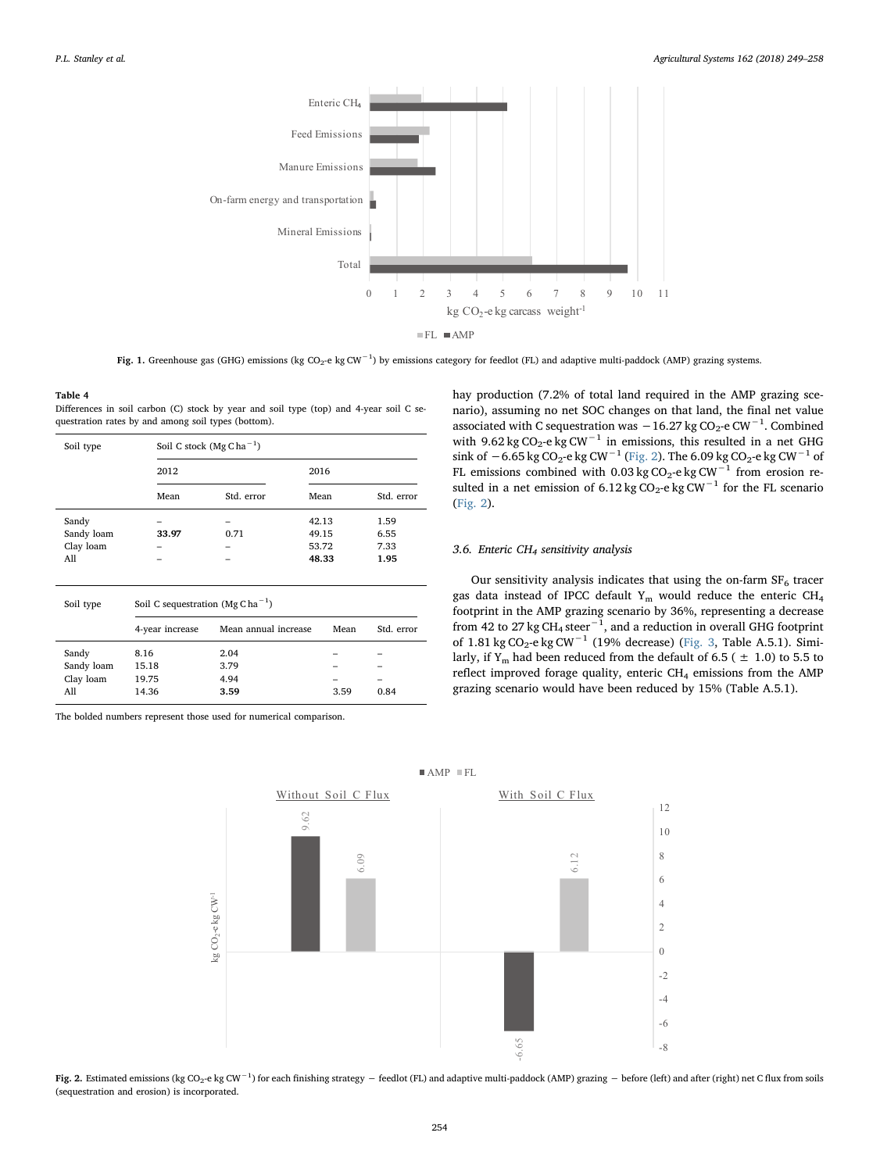<span id="page-5-0"></span>

Fig. 1. Greenhouse gas (GHG) emissions (kg CO<sub>2</sub>-e kg CW<sup>−1</sup>) by emissions category for feedlot (FL) and adaptive multi-paddock (AMP) grazing systems.

#### <span id="page-5-1"></span>Table 4

Differences in soil carbon (C) stock by year and soil type (top) and 4-year soil C sequestration rates by and among soil types (bottom).

| Soil type  | Soil C stock (Mg C ha <sup>-1</sup> ) |            |       |            |  |  |
|------------|---------------------------------------|------------|-------|------------|--|--|
|            | 2012                                  |            | 2016  |            |  |  |
|            | Mean                                  | Std. error | Mean  | Std. error |  |  |
| Sandy      |                                       |            | 42.13 | 1.59       |  |  |
| Sandy loam | 33.97                                 | 0.71       | 49.15 | 6.55       |  |  |
| Clay loam  | -                                     |            | 53.72 | 7.33       |  |  |
| A11        |                                       |            | 48.33 | 1.95       |  |  |
|            |                                       |            |       |            |  |  |

| Soil type                               | Soil C sequestration $(Mg Cha^{-1})$ |                              |      |            |  |  |
|-----------------------------------------|--------------------------------------|------------------------------|------|------------|--|--|
|                                         | 4-year increase                      | Mean annual increase         | Mean | Std. error |  |  |
| Sandy<br>Sandy loam<br>Clay loam<br>A11 | 8.16<br>15.18<br>19.75<br>14.36      | 2.04<br>3.79<br>4.94<br>3.59 | 3.59 | 0.84       |  |  |

<span id="page-5-2"></span>The bolded numbers represent those used for numerical comparison.

hay production (7.2% of total land required in the AMP grazing scenario), assuming no net SOC changes on that land, the final net value associated with C sequestration was  $-16.27$  kg CO<sub>2</sub>-e CW<sup>-1</sup>. Combined with 9.62 kg CO<sub>2</sub>-e kg CW<sup>-1</sup> in emissions, this resulted in a net GHG sink of −6.65 kg CO<sub>2</sub>-e kg CW<sup>-1</sup> ([Fig. 2](#page-5-2)). The 6.09 kg CO<sub>2</sub>-e kg CW<sup>-1</sup> of FL emissions combined with 0.03 kg CO<sub>2</sub>-e kg CW<sup>-1</sup> from erosion resulted in a net emission of  $6.12 \text{ kg CO}_2$ -e kg CW<sup>-1</sup> for the FL scenario ([Fig. 2\)](#page-5-2).

# 3.6. Enteric  $CH_4$  sensitivity analysis

Our sensitivity analysis indicates that using the on-farm  $SF<sub>6</sub>$  tracer gas data instead of IPCC default  $Y_m$  would reduce the enteric CH<sub>4</sub> footprint in the AMP grazing scenario by 36%, representing a decrease from 42 to 27 kg CH<sub>4</sub> steer<sup>-1</sup>, and a reduction in overall GHG footprint of 1.81 kg CO<sub>2</sub>-e kg CW<sup>-1</sup> (19% decrease) ([Fig. 3,](#page-6-0) Table A.5.1). Similarly, if Y<sub>m</sub> had been reduced from the default of 6.5 ( $\pm$  1.0) to 5.5 to reflect improved forage quality, enteric CH<sub>4</sub> emissions from the AMP grazing scenario would have been reduced by 15% (Table A.5.1).



 $M$ P FL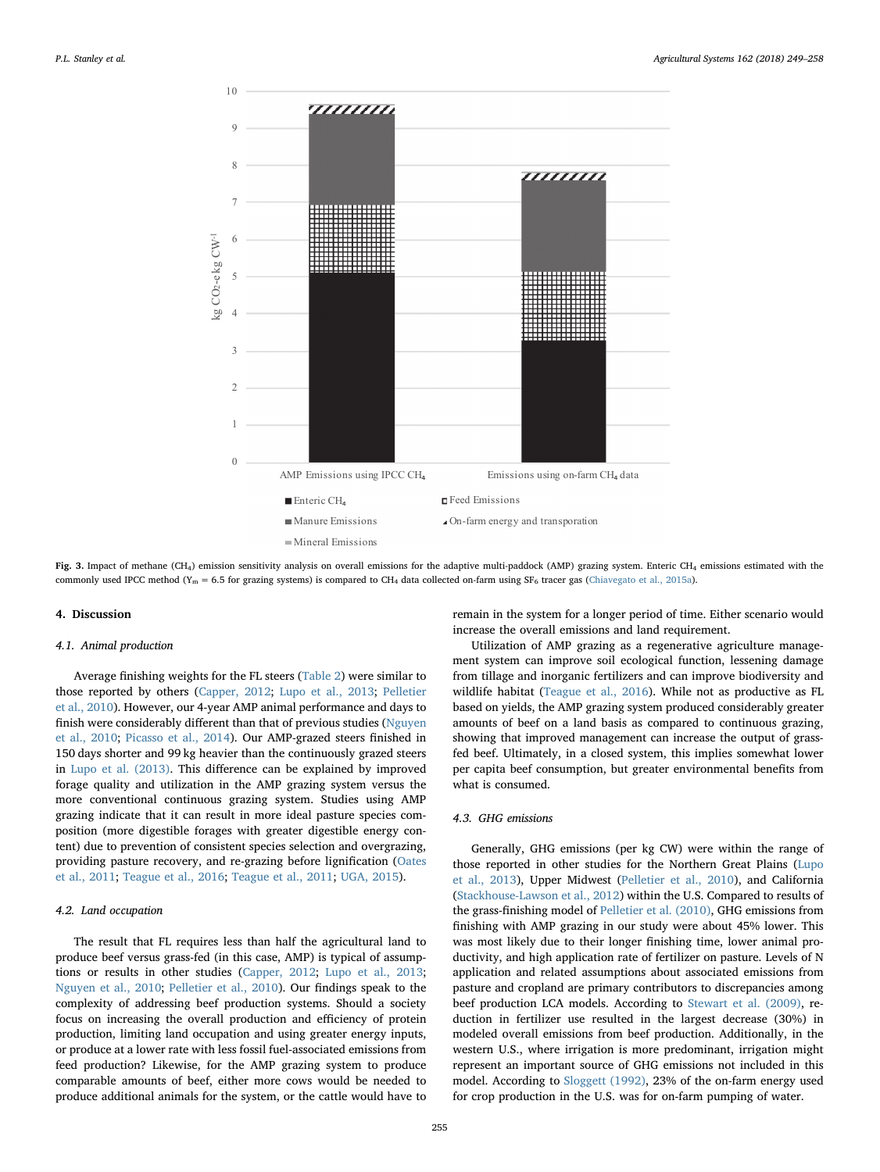<span id="page-6-0"></span>

Fig. 3. Impact of methane (CH<sub>4</sub>) emission sensitivity analysis on overall emissions for the adaptive multi-paddock (AMP) grazing system. Enteric CH<sub>4</sub> emissions estimated with the commonly used IPCC method (Y<sub>m</sub> = 6.5 for grazing systems) is compared to CH<sub>4</sub> data collected on-farm using SF<sub>6</sub> tracer gas ([Chiavegato et al., 2015a](#page-8-19)).

# 4. Discussion

# 4.1. Animal production

Average finishing weights for the FL steers ([Table 2\)](#page-4-0) were similar to those reported by others ([Capper, 2012](#page-8-13); [Lupo et al., 2013](#page-9-15); [Pelletier](#page-9-17) [et al., 2010\)](#page-9-17). However, our 4-year AMP animal performance and days to finish were considerably different than that of previous studies ([Nguyen](#page-9-16) [et al., 2010;](#page-9-16) [Picasso et al., 2014\)](#page-9-40). Our AMP-grazed steers finished in 150 days shorter and 99 kg heavier than the continuously grazed steers in [Lupo et al. \(2013\)](#page-9-15). This difference can be explained by improved forage quality and utilization in the AMP grazing system versus the more conventional continuous grazing system. Studies using AMP grazing indicate that it can result in more ideal pasture species composition (more digestible forages with greater digestible energy content) due to prevention of consistent species selection and overgrazing, providing pasture recovery, and re-grazing before lignification ([Oates](#page-9-1) [et al., 2011](#page-9-1); [Teague et al., 2016](#page-9-7); [Teague et al., 2011;](#page-9-19) [UGA, 2015\)](#page-9-41).

# 4.2. Land occupation

The result that FL requires less than half the agricultural land to produce beef versus grass-fed (in this case, AMP) is typical of assumptions or results in other studies [\(Capper, 2012;](#page-8-13) [Lupo et al., 2013](#page-9-15); [Nguyen et al., 2010](#page-9-16); [Pelletier et al., 2010](#page-9-17)). Our findings speak to the complexity of addressing beef production systems. Should a society focus on increasing the overall production and efficiency of protein production, limiting land occupation and using greater energy inputs, or produce at a lower rate with less fossil fuel-associated emissions from feed production? Likewise, for the AMP grazing system to produce comparable amounts of beef, either more cows would be needed to produce additional animals for the system, or the cattle would have to remain in the system for a longer period of time. Either scenario would increase the overall emissions and land requirement.

Utilization of AMP grazing as a regenerative agriculture management system can improve soil ecological function, lessening damage from tillage and inorganic fertilizers and can improve biodiversity and wildlife habitat [\(Teague et al., 2016](#page-9-7)). While not as productive as FL based on yields, the AMP grazing system produced considerably greater amounts of beef on a land basis as compared to continuous grazing, showing that improved management can increase the output of grassfed beef. Ultimately, in a closed system, this implies somewhat lower per capita beef consumption, but greater environmental benefits from what is consumed.

### 4.3. GHG emissions

Generally, GHG emissions (per kg CW) were within the range of those reported in other studies for the Northern Great Plains [\(Lupo](#page-9-15) [et al., 2013\)](#page-9-15), Upper Midwest ([Pelletier et al., 2010\)](#page-9-17), and California ([Stackhouse-Lawson et al., 2012](#page-9-20)) within the U.S. Compared to results of the grass-finishing model of [Pelletier et al. \(2010\)](#page-9-17), GHG emissions from finishing with AMP grazing in our study were about 45% lower. This was most likely due to their longer finishing time, lower animal productivity, and high application rate of fertilizer on pasture. Levels of N application and related assumptions about associated emissions from pasture and cropland are primary contributors to discrepancies among beef production LCA models. According to [Stewart et al. \(2009\)](#page-9-42), reduction in fertilizer use resulted in the largest decrease (30%) in modeled overall emissions from beef production. Additionally, in the western U.S., where irrigation is more predominant, irrigation might represent an important source of GHG emissions not included in this model. According to [Sloggett \(1992\)](#page-9-43), 23% of the on-farm energy used for crop production in the U.S. was for on-farm pumping of water.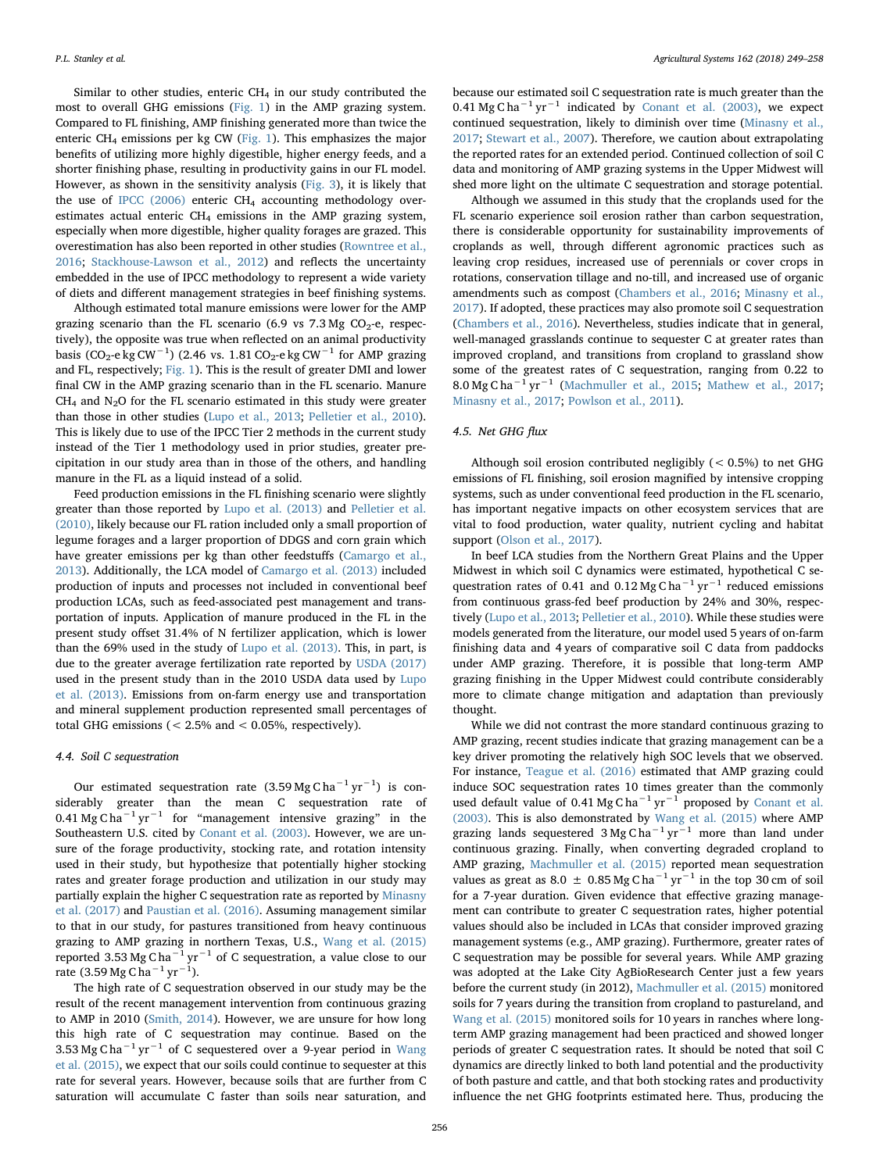Similar to other studies, enteric  $CH<sub>4</sub>$  in our study contributed the most to overall GHG emissions [\(Fig. 1\)](#page-5-0) in the AMP grazing system. Compared to FL finishing, AMP finishing generated more than twice the enteric  $CH_4$  emissions per kg CW ([Fig. 1](#page-5-0)). This emphasizes the major benefits of utilizing more highly digestible, higher energy feeds, and a shorter finishing phase, resulting in productivity gains in our FL model. However, as shown in the sensitivity analysis ([Fig. 3\)](#page-6-0), it is likely that the use of IPCC  $(2006)$  enteric CH<sub>4</sub> accounting methodology overestimates actual enteric CH<sub>4</sub> emissions in the AMP grazing system, especially when more digestible, higher quality forages are grazed. This overestimation has also been reported in other studies ([Rowntree et al.,](#page-9-2) [2016;](#page-9-2) [Stackhouse-Lawson et al., 2012\)](#page-9-20) and reflects the uncertainty embedded in the use of IPCC methodology to represent a wide variety of diets and different management strategies in beef finishing systems.

Although estimated total manure emissions were lower for the AMP grazing scenario than the FL scenario (6.9 vs  $7.3 \text{ Mg } CO_2$ -e, respectively), the opposite was true when reflected on an animal productivity basis (CO<sub>2</sub>-e kg CW<sup>-1</sup>) (2.46 vs. 1.81 CO<sub>2</sub>-e kg CW<sup>-1</sup> for AMP grazing and FL, respectively; [Fig. 1](#page-5-0)). This is the result of greater DMI and lower final CW in the AMP grazing scenario than in the FL scenario. Manure  $CH<sub>4</sub>$  and N<sub>2</sub>O for the FL scenario estimated in this study were greater than those in other studies [\(Lupo et al., 2013;](#page-9-15) [Pelletier et al., 2010](#page-9-17)). This is likely due to use of the IPCC Tier 2 methods in the current study instead of the Tier 1 methodology used in prior studies, greater precipitation in our study area than in those of the others, and handling manure in the FL as a liquid instead of a solid.

Feed production emissions in the FL finishing scenario were slightly greater than those reported by [Lupo et al. \(2013\)](#page-9-15) and [Pelletier et al.](#page-9-17) [\(2010\),](#page-9-17) likely because our FL ration included only a small proportion of legume forages and a larger proportion of DDGS and corn grain which have greater emissions per kg than other feedstuffs ([Camargo et al.,](#page-8-16) [2013\)](#page-8-16). Additionally, the LCA model of [Camargo et al. \(2013\)](#page-8-16) included production of inputs and processes not included in conventional beef production LCAs, such as feed-associated pest management and transportation of inputs. Application of manure produced in the FL in the present study offset 31.4% of N fertilizer application, which is lower than the 69% used in the study of [Lupo et al. \(2013\).](#page-9-15) This, in part, is due to the greater average fertilization rate reported by [USDA \(2017\)](#page-9-44) used in the present study than in the 2010 USDA data used by [Lupo](#page-9-15) [et al. \(2013\).](#page-9-15) Emissions from on-farm energy use and transportation and mineral supplement production represented small percentages of total GHG emissions ( $< 2.5\%$  and  $< 0.05\%$ , respectively).

### 4.4. Soil C sequestration

Our estimated sequestration rate  $(3.59 \text{ Mg C ha}^{-1} \text{ yr}^{-1})$  is considerably greater than the mean C sequestration rate of 0.41 Mg C ha<sup> $-1$ </sup> yr<sup> $-1$ </sup> for "management intensive grazing" in the Southeastern U.S. cited by [Conant et al. \(2003\)](#page-8-3). However, we are unsure of the forage productivity, stocking rate, and rotation intensity used in their study, but hypothesize that potentially higher stocking rates and greater forage production and utilization in our study may partially explain the higher C sequestration rate as reported by [Minasny](#page-9-45) [et al. \(2017\)](#page-9-45) and [Paustian et al. \(2016\).](#page-9-12) Assuming management similar to that in our study, for pastures transitioned from heavy continuous grazing to AMP grazing in northern Texas, U.S., [Wang et al. \(2015\)](#page-9-10) reported 3.53 Mg C ha<sup> $-1$ </sup> yr<sup> $-1$ </sup> of C sequestration, a value close to our rate (3.59 Mg C ha−<sup>1</sup> yr−<sup>1</sup> ).

The high rate of C sequestration observed in our study may be the result of the recent management intervention from continuous grazing to AMP in 2010 ([Smith, 2014](#page-9-46)). However, we are unsure for how long this high rate of C sequestration may continue. Based on the 3.53 Mg C ha<sup> $-1$ </sup> yr<sup> $-1$ </sup> of C sequestered over a 9-year period in [Wang](#page-9-10) [et al. \(2015\),](#page-9-10) we expect that our soils could continue to sequester at this rate for several years. However, because soils that are further from C saturation will accumulate C faster than soils near saturation, and

because our estimated soil C sequestration rate is much greater than the 0.41 Mg C ha<sup> $-1$ </sup> yr<sup> $-1$ </sup> indicated by [Conant et al. \(2003\)](#page-8-3), we expect continued sequestration, likely to diminish over time [\(Minasny et al.,](#page-9-45) [2017;](#page-9-45) [Stewart et al., 2007\)](#page-9-47). Therefore, we caution about extrapolating the reported rates for an extended period. Continued collection of soil C data and monitoring of AMP grazing systems in the Upper Midwest will shed more light on the ultimate C sequestration and storage potential.

Although we assumed in this study that the croplands used for the FL scenario experience soil erosion rather than carbon sequestration, there is considerable opportunity for sustainability improvements of croplands as well, through different agronomic practices such as leaving crop residues, increased use of perennials or cover crops in rotations, conservation tillage and no-till, and increased use of organic amendments such as compost [\(Chambers et al., 2016;](#page-8-7) [Minasny et al.,](#page-9-45) [2017\)](#page-9-45). If adopted, these practices may also promote soil C sequestration ([Chambers et al., 2016\)](#page-8-7). Nevertheless, studies indicate that in general, well-managed grasslands continue to sequester C at greater rates than improved cropland, and transitions from cropland to grassland show some of the greatest rates of C sequestration, ranging from 0.22 to 8.0 Mg C ha−<sup>1</sup> yr−<sup>1</sup> [\(Machmuller et al., 2015;](#page-9-48) [Mathew et al., 2017](#page-9-49); [Minasny et al., 2017;](#page-9-45) [Powlson et al., 2011\)](#page-9-50).

# 4.5. Net GHG flux

Although soil erosion contributed negligibly (< 0.5%) to net GHG emissions of FL finishing, soil erosion magnified by intensive cropping systems, such as under conventional feed production in the FL scenario, has important negative impacts on other ecosystem services that are vital to food production, water quality, nutrient cycling and habitat support [\(Olson et al., 2017\)](#page-9-11).

In beef LCA studies from the Northern Great Plains and the Upper Midwest in which soil C dynamics were estimated, hypothetical C sequestration rates of 0.41 and 0.12 Mg C ha<sup>-1</sup> yr<sup>-1</sup> reduced emissions from continuous grass-fed beef production by 24% and 30%, respectively [\(Lupo et al., 2013;](#page-9-15) [Pelletier et al., 2010](#page-9-17)). While these studies were models generated from the literature, our model used 5 years of on-farm finishing data and 4 years of comparative soil C data from paddocks under AMP grazing. Therefore, it is possible that long-term AMP grazing finishing in the Upper Midwest could contribute considerably more to climate change mitigation and adaptation than previously thought.

While we did not contrast the more standard continuous grazing to AMP grazing, recent studies indicate that grazing management can be a key driver promoting the relatively high SOC levels that we observed. For instance, [Teague et al. \(2016\)](#page-9-7) estimated that AMP grazing could induce SOC sequestration rates 10 times greater than the commonly used default value of 0.41 Mg C ha<sup>-1</sup> yr<sup>-1</sup> proposed by [Conant et al.](#page-8-3) [\(2003\).](#page-8-3) This is also demonstrated by [Wang et al. \(2015\)](#page-9-10) where AMP grazing lands sequestered 3 Mg C ha<sup>-1</sup> yr<sup>-1</sup> more than land under continuous grazing. Finally, when converting degraded cropland to AMP grazing, [Machmuller et al. \(2015\)](#page-9-48) reported mean sequestration values as great as 8.0  $\pm$  0.85 Mg C ha<sup>-1</sup> yr<sup>-1</sup> in the top 30 cm of soil for a 7-year duration. Given evidence that effective grazing management can contribute to greater C sequestration rates, higher potential values should also be included in LCAs that consider improved grazing management systems (e.g., AMP grazing). Furthermore, greater rates of C sequestration may be possible for several years. While AMP grazing was adopted at the Lake City AgBioResearch Center just a few years before the current study (in 2012), [Machmuller et al. \(2015\)](#page-9-48) monitored soils for 7 years during the transition from cropland to pastureland, and [Wang et al. \(2015\)](#page-9-10) monitored soils for 10 years in ranches where longterm AMP grazing management had been practiced and showed longer periods of greater C sequestration rates. It should be noted that soil C dynamics are directly linked to both land potential and the productivity of both pasture and cattle, and that both stocking rates and productivity influence the net GHG footprints estimated here. Thus, producing the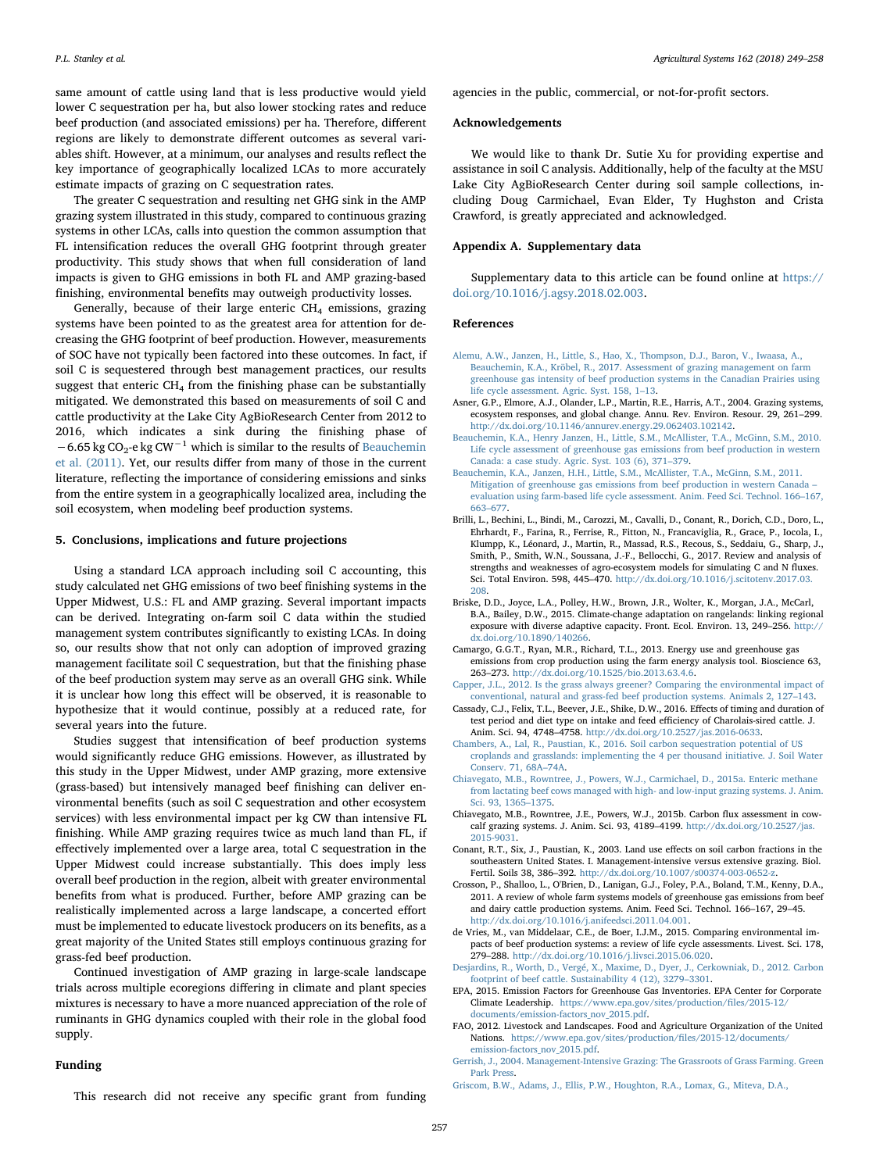same amount of cattle using land that is less productive would yield lower C sequestration per ha, but also lower stocking rates and reduce beef production (and associated emissions) per ha. Therefore, different regions are likely to demonstrate different outcomes as several variables shift. However, at a minimum, our analyses and results reflect the key importance of geographically localized LCAs to more accurately estimate impacts of grazing on C sequestration rates.

The greater C sequestration and resulting net GHG sink in the AMP grazing system illustrated in this study, compared to continuous grazing systems in other LCAs, calls into question the common assumption that FL intensification reduces the overall GHG footprint through greater productivity. This study shows that when full consideration of land impacts is given to GHG emissions in both FL and AMP grazing-based finishing, environmental benefits may outweigh productivity losses.

Generally, because of their large enteric  $CH<sub>4</sub>$  emissions, grazing systems have been pointed to as the greatest area for attention for decreasing the GHG footprint of beef production. However, measurements of SOC have not typically been factored into these outcomes. In fact, if soil C is sequestered through best management practices, our results suggest that enteric  $CH_4$  from the finishing phase can be substantially mitigated. We demonstrated this based on measurements of soil C and cattle productivity at the Lake City AgBioResearch Center from 2012 to 2016, which indicates a sink during the finishing phase of  $-6.65$  kg CO<sub>2</sub>-e kg CW<sup>-1</sup> which is similar to the results of [Beauchemin](#page-8-12) [et al. \(2011\)](#page-8-12). Yet, our results differ from many of those in the current literature, reflecting the importance of considering emissions and sinks from the entire system in a geographically localized area, including the soil ecosystem, when modeling beef production systems.

# 5. Conclusions, implications and future projections

Using a standard LCA approach including soil C accounting, this study calculated net GHG emissions of two beef finishing systems in the Upper Midwest, U.S.: FL and AMP grazing. Several important impacts can be derived. Integrating on-farm soil C data within the studied management system contributes significantly to existing LCAs. In doing so, our results show that not only can adoption of improved grazing management facilitate soil C sequestration, but that the finishing phase of the beef production system may serve as an overall GHG sink. While it is unclear how long this effect will be observed, it is reasonable to hypothesize that it would continue, possibly at a reduced rate, for several years into the future.

Studies suggest that intensification of beef production systems would significantly reduce GHG emissions. However, as illustrated by this study in the Upper Midwest, under AMP grazing, more extensive (grass-based) but intensively managed beef finishing can deliver environmental benefits (such as soil C sequestration and other ecosystem services) with less environmental impact per kg CW than intensive FL finishing. While AMP grazing requires twice as much land than FL, if effectively implemented over a large area, total C sequestration in the Upper Midwest could increase substantially. This does imply less overall beef production in the region, albeit with greater environmental benefits from what is produced. Further, before AMP grazing can be realistically implemented across a large landscape, a concerted effort must be implemented to educate livestock producers on its benefits, as a great majority of the United States still employs continuous grazing for grass-fed beef production.

Continued investigation of AMP grazing in large-scale landscape trials across multiple ecoregions differing in climate and plant species mixtures is necessary to have a more nuanced appreciation of the role of ruminants in GHG dynamics coupled with their role in the global food supply.

### Funding

This research did not receive any specific grant from funding

agencies in the public, commercial, or not-for-profit sectors.

# Acknowledgements

We would like to thank Dr. Sutie Xu for providing expertise and assistance in soil C analysis. Additionally, help of the faculty at the MSU Lake City AgBioResearch Center during soil sample collections, including Doug Carmichael, Evan Elder, Ty Hughston and Crista Crawford, is greatly appreciated and acknowledged.

# Appendix A. Supplementary data

Supplementary data to this article can be found online at [https://](https://doi.org/10.1016/j.agsy.2018.02.003) [doi.org/10.1016/j.agsy.2018.02.003.](https://doi.org/10.1016/j.agsy.2018.02.003)

# References

- <span id="page-8-11"></span>[Alemu, A.W., Janzen, H., Little, S., Hao, X., Thompson, D.J., Baron, V., Iwaasa, A.,](http://refhub.elsevier.com/S0308-521X(17)31033-8/rf0005) [Beauchemin, K.A., Kröbel, R., 2017. Assessment of grazing management on farm](http://refhub.elsevier.com/S0308-521X(17)31033-8/rf0005) [greenhouse gas intensity of beef production systems in the Canadian Prairies using](http://refhub.elsevier.com/S0308-521X(17)31033-8/rf0005) [life cycle assessment. Agric. Syst. 158, 1](http://refhub.elsevier.com/S0308-521X(17)31033-8/rf0005)–13.
- <span id="page-8-8"></span>Asner, G.P., Elmore, A.J., Olander, L.P., Martin, R.E., Harris, A.T., 2004. Grazing systems, ecosystem responses, and global change. Annu. Rev. Environ. Resour. 29, 261–299. <http://dx.doi.org/10.1146/annurev.energy.29.062403.102142>.
- <span id="page-8-10"></span>[Beauchemin, K.A., Henry Janzen, H., Little, S.M., McAllister, T.A., McGinn, S.M., 2010.](http://refhub.elsevier.com/S0308-521X(17)31033-8/rf0015) [Life cycle assessment of greenhouse gas emissions from beef production in western](http://refhub.elsevier.com/S0308-521X(17)31033-8/rf0015) [Canada: a case study. Agric. Syst. 103 \(6\), 371](http://refhub.elsevier.com/S0308-521X(17)31033-8/rf0015)–379.
- <span id="page-8-12"></span>[Beauchemin, K.A., Janzen, H.H., Little, S.M., McAllister, T.A., McGinn, S.M., 2011.](http://refhub.elsevier.com/S0308-521X(17)31033-8/rf0020) [Mitigation of greenhouse gas emissions from beef production in western Canada](http://refhub.elsevier.com/S0308-521X(17)31033-8/rf0020) – [evaluation using farm-based life cycle assessment. Anim. Feed Sci. Technol. 166](http://refhub.elsevier.com/S0308-521X(17)31033-8/rf0020)–167, 663–[677](http://refhub.elsevier.com/S0308-521X(17)31033-8/rf0020).
- <span id="page-8-2"></span>Brilli, L., Bechini, L., Bindi, M., Carozzi, M., Cavalli, D., Conant, R., Dorich, C.D., Doro, L., Ehrhardt, F., Farina, R., Ferrise, R., Fitton, N., Francaviglia, R., Grace, P., Iocola, I., Klumpp, K., Léonard, J., Martin, R., Massad, R.S., Recous, S., Seddaiu, G., Sharp, J., Smith, P., Smith, W.N., Soussana, J.-F., Bellocchi, G., 2017. Review and analysis of strengths and weaknesses of agro-ecosystem models for simulating C and N fluxes. Sci. Total Environ. 598, 445–470. [http://dx.doi.org/10.1016/j.scitotenv.2017.03.](http://dx.doi.org/10.1016/j.scitotenv.2017.03.208) [208](http://dx.doi.org/10.1016/j.scitotenv.2017.03.208).
- <span id="page-8-9"></span>Briske, D.D., Joyce, L.A., Polley, H.W., Brown, J.R., Wolter, K., Morgan, J.A., McCarl, B.A., Bailey, D.W., 2015. Climate-change adaptation on rangelands: linking regional exposure with diverse adaptive capacity. Front. Ecol. Environ. 13, 249–256. [http://](http://dx.doi.org/10.1890/140266) [dx.doi.org/10.1890/140266](http://dx.doi.org/10.1890/140266).
- <span id="page-8-16"></span>Camargo, G.G.T., Ryan, M.R., Richard, T.L., 2013. Energy use and greenhouse gas emissions from crop production using the farm energy analysis tool. Bioscience 63, 263–273. [http://dx.doi.org/10.1525/bio.2013.63.4.6.](http://dx.doi.org/10.1525/bio.2013.63.4.6)
- <span id="page-8-13"></span>[Capper, J.L., 2012. Is the grass always greener? Comparing the environmental impact of](http://refhub.elsevier.com/S0308-521X(17)31033-8/rf0040) [conventional, natural and grass-fed beef production systems. Animals 2, 127](http://refhub.elsevier.com/S0308-521X(17)31033-8/rf0040)–143.
- <span id="page-8-15"></span>Cassady, C.J., Felix, T.L., Beever, J.E., Shike, D.W., 2016. Effects of timing and duration of test period and diet type on intake and feed efficiency of Charolais-sired cattle. J. Anim. Sci. 94, 4748–4758. [http://dx.doi.org/10.2527/jas.2016-0633.](http://dx.doi.org/10.2527/jas.2016-0633)
- <span id="page-8-7"></span>[Chambers, A., Lal, R., Paustian, K., 2016. Soil carbon sequestration potential of US](http://refhub.elsevier.com/S0308-521X(17)31033-8/rf0050) [croplands and grasslands: implementing the 4 per thousand initiative. J. Soil Water](http://refhub.elsevier.com/S0308-521X(17)31033-8/rf0050) [Conserv. 71, 68A](http://refhub.elsevier.com/S0308-521X(17)31033-8/rf0050)–74A.
- <span id="page-8-19"></span>[Chiavegato, M.B., Rowntree, J., Powers, W.J., Carmichael, D., 2015a. Enteric methane](http://refhub.elsevier.com/S0308-521X(17)31033-8/rf0055) [from lactating beef cows managed with high- and low-input grazing systems. J. Anim.](http://refhub.elsevier.com/S0308-521X(17)31033-8/rf0055) [Sci. 93, 1365](http://refhub.elsevier.com/S0308-521X(17)31033-8/rf0055)–1375.
- <span id="page-8-18"></span>Chiavegato, M.B., Rowntree, J.E., Powers, W.J., 2015b. Carbon flux assessment in cowcalf grazing systems. J. Anim. Sci. 93, 4189–4199. [http://dx.doi.org/10.2527/jas.](http://dx.doi.org/10.2527/jas.2015-9031) [2015-9031](http://dx.doi.org/10.2527/jas.2015-9031).
- <span id="page-8-3"></span>Conant, R.T., Six, J., Paustian, K., 2003. Land use effects on soil carbon fractions in the southeastern United States. I. Management-intensive versus extensive grazing. Biol. Fertil. Soils 38, 386–392. <http://dx.doi.org/10.1007/s00374-003-0652-z>.
- <span id="page-8-0"></span>Crosson, P., Shalloo, L., O'Brien, D., Lanigan, G.J., Foley, P.A., Boland, T.M., Kenny, D.A., 2011. A review of whole farm systems models of greenhouse gas emissions from beef and dairy cattle production systems. Anim. Feed Sci. Technol. 166–167, 29–45. [http://dx.doi.org/10.1016/j.anifeedsci.2011.04.001.](http://dx.doi.org/10.1016/j.anifeedsci.2011.04.001)
- <span id="page-8-1"></span>de Vries, M., van Middelaar, C.E., de Boer, I.J.M., 2015. Comparing environmental impacts of beef production systems: a review of life cycle assessments. Livest. Sci. 178, 279–288. <http://dx.doi.org/10.1016/j.livsci.2015.06.020>.
- <span id="page-8-6"></span>[Desjardins, R., Worth, D., Vergé, X., Maxime, D., Dyer, J., Cerkowniak, D., 2012. Carbon](http://refhub.elsevier.com/S0308-521X(17)31033-8/rf0080) [footprint of beef cattle. Sustainability 4 \(12\), 3279](http://refhub.elsevier.com/S0308-521X(17)31033-8/rf0080)–3301.
- <span id="page-8-17"></span>EPA, 2015. Emission Factors for Greenhouse Gas Inventories. EPA Center for Corporate Climate Leadership. [https://www.epa.gov/sites/production/](https://www.epa.gov/sites/production/files/2015-12/documents/emission-factors_nov_2015.pdf)files/2015-12/ [documents/emission-factors\\_nov\\_2015.pdf.](https://www.epa.gov/sites/production/files/2015-12/documents/emission-factors_nov_2015.pdf)
- <span id="page-8-14"></span>FAO, 2012. Livestock and Landscapes. Food and Agriculture Organization of the United Nations. [https://www.epa.gov/sites/production/](https://www.epa.gov/sites/production/files/2015-12/documents/emission-factors_nov_2015.pdf)files/2015-12/documents/ [emission-factors\\_nov\\_2015.pdf](https://www.epa.gov/sites/production/files/2015-12/documents/emission-factors_nov_2015.pdf).
- <span id="page-8-4"></span>[Gerrish, J., 2004. Management-Intensive Grazing: The Grassroots of Grass Farming. Green](http://refhub.elsevier.com/S0308-521X(17)31033-8/rf0100) [Park Press.](http://refhub.elsevier.com/S0308-521X(17)31033-8/rf0100)
- <span id="page-8-5"></span>[Griscom, B.W., Adams, J., Ellis, P.W., Houghton, R.A., Lomax, G., Miteva, D.A.,](http://refhub.elsevier.com/S0308-521X(17)31033-8/rf0105)